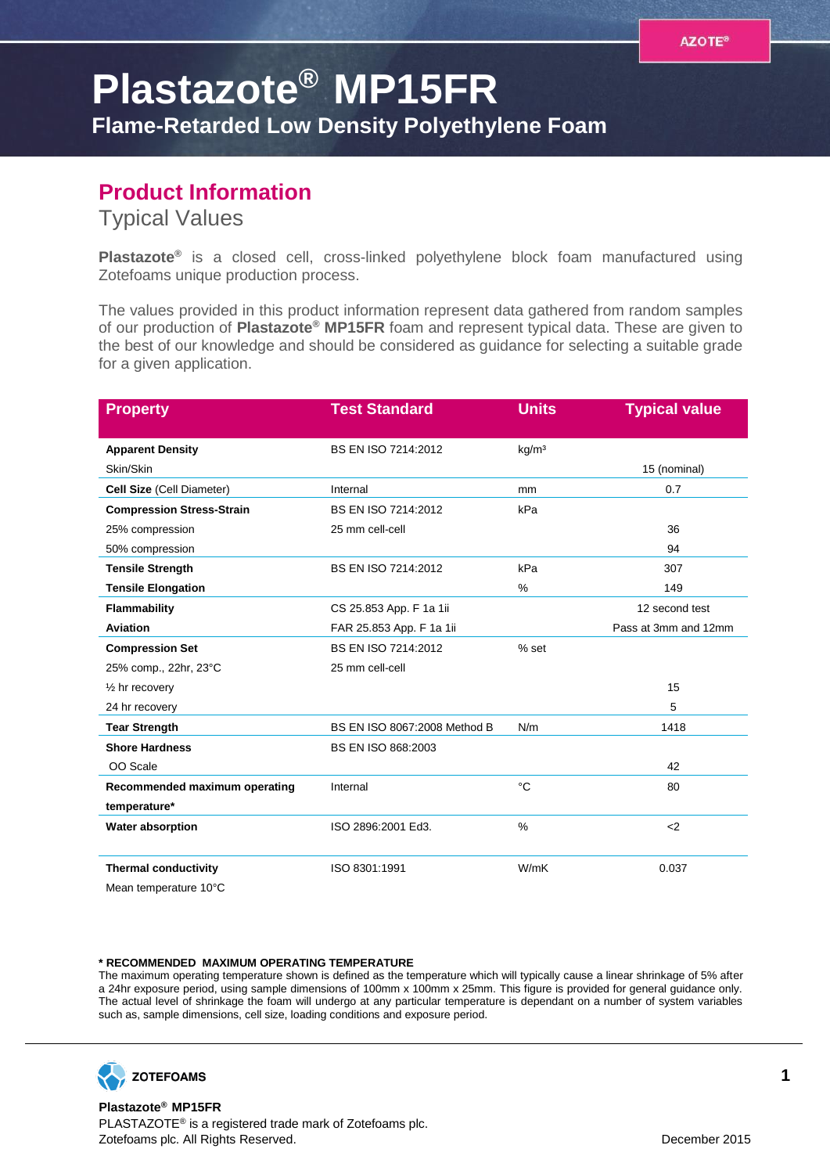## **Plastazote® MP15FR**

**Flame-Retarded Low Density Polyethylene Foam**

## **Product Information**

Typical Values

**Plastazote®** is a closed cell, cross-linked polyethylene block foam manufactured using Zotefoams unique production process.

The values provided in this product information represent data gathered from random samples of our production of **Plastazote® MP15FR** foam and represent typical data. These are given to the best of our knowledge and should be considered as guidance for selecting a suitable grade for a given application.

| <b>Property</b>                                      | <b>Test Standard</b>         | <b>Units</b>      | <b>Typical value</b> |
|------------------------------------------------------|------------------------------|-------------------|----------------------|
| <b>Apparent Density</b>                              | BS EN ISO 7214:2012          | kg/m <sup>3</sup> |                      |
| Skin/Skin                                            |                              |                   | 15 (nominal)         |
| Cell Size (Cell Diameter)                            | Internal                     | mm                | 0.7                  |
| <b>Compression Stress-Strain</b>                     | BS EN ISO 7214:2012          | kPa               |                      |
| 25% compression                                      | 25 mm cell-cell              |                   | 36                   |
| 50% compression                                      |                              |                   | 94                   |
| <b>Tensile Strength</b>                              | BS EN ISO 7214:2012          | kPa               | 307                  |
| <b>Tensile Elongation</b>                            |                              | %                 | 149                  |
| Flammability                                         | CS 25.853 App. F 1a 1ii      |                   | 12 second test       |
| Aviation                                             | FAR 25.853 App. F 1a 1ii     |                   | Pass at 3mm and 12mm |
| <b>Compression Set</b>                               | BS EN ISO 7214:2012          | % set             |                      |
| 25% comp., 22hr, 23°C                                | 25 mm cell-cell              |                   |                      |
| $\frac{1}{2}$ hr recovery                            |                              |                   | 15                   |
| 24 hr recovery                                       |                              |                   | 5                    |
| <b>Tear Strength</b>                                 | BS EN ISO 8067:2008 Method B | N/m               | 1418                 |
| <b>Shore Hardness</b>                                | <b>BS EN ISO 868:2003</b>    |                   |                      |
| OO Scale                                             |                              |                   | 42                   |
| Recommended maximum operating                        | Internal                     | °C                | 80                   |
| temperature*                                         |                              |                   |                      |
| Water absorption                                     | ISO 2896:2001 Ed3.           | $\frac{0}{0}$     | $\leq$               |
|                                                      |                              | W/mK              |                      |
| <b>Thermal conductivity</b><br>Mean temperature 10°C | ISO 8301:1991                |                   | 0.037                |

## **\* RECOMMENDED MAXIMUM OPERATING TEMPERATURE**

The maximum operating temperature shown is defined as the temperature which will typically cause a linear shrinkage of 5% after a 24hr exposure period, using sample dimensions of 100mm x 100mm x 25mm. This figure is provided for general guidance only. The actual level of shrinkage the foam will undergo at any particular temperature is dependant on a number of system variables such as, sample dimensions, cell size, loading conditions and exposure period.



**Plastazote® MP15FR** PLASTAZOTE® is a registered trade mark of Zotefoams plc. Zotefoams plc. All Rights Reserved. December 2015